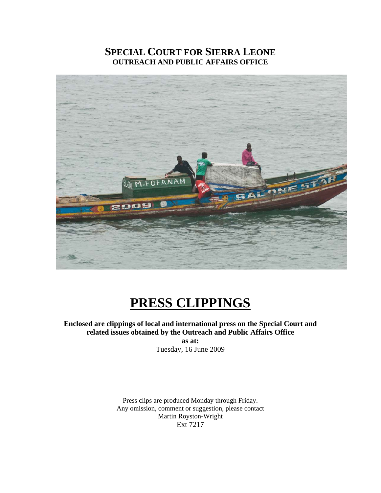### **SPECIAL COURT FOR SIERRA LEONE OUTREACH AND PUBLIC AFFAIRS OFFICE**



# **PRESS CLIPPINGS**

**Enclosed are clippings of local and international press on the Special Court and related issues obtained by the Outreach and Public Affairs Office as at:**  Tuesday, 16 June 2009

> Press clips are produced Monday through Friday. Any omission, comment or suggestion, please contact Martin Royston-Wright Ext 7217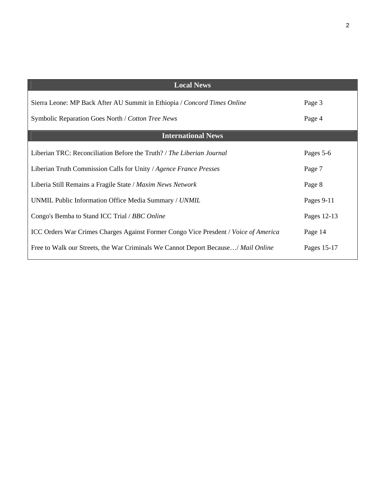| <b>Local News</b>                                                                   |             |
|-------------------------------------------------------------------------------------|-------------|
| Sierra Leone: MP Back After AU Summit in Ethiopia / Concord Times Online            | Page 3      |
| Symbolic Reparation Goes North / Cotton Tree News                                   | Page 4      |
| <b>International News</b>                                                           |             |
| Liberian TRC: Reconciliation Before the Truth? / The Liberian Journal               | Pages 5-6   |
| Liberian Truth Commission Calls for Unity / Agence France Presses                   | Page 7      |
| Liberia Still Remains a Fragile State / Maxim News Network                          | Page 8      |
| UNMIL Public Information Office Media Summary / UNMIL                               | Pages 9-11  |
| Congo's Bemba to Stand ICC Trial / BBC Online                                       | Pages 12-13 |
| ICC Orders War Crimes Charges Against Former Congo Vice Presdent / Voice of America | Page 14     |
| Free to Walk our Streets, the War Criminals We Cannot Deport Because/ Mail Online   | Pages 15-17 |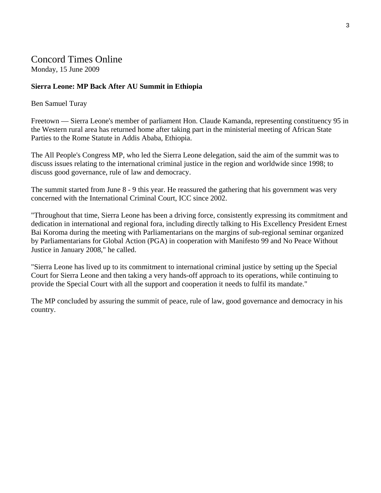### Concord Times Online Monday, 15 June 2009

### **Sierra Leone: MP Back After AU Summit in Ethiopia**

### Ben Samuel Turay

Freetown — Sierra Leone's member of parliament Hon. Claude Kamanda, representing constituency 95 in the Western rural area has returned home after taking part in the ministerial meeting of African State Parties to the Rome Statute in Addis Ababa, Ethiopia.

The All People's Congress MP, who led the Sierra Leone delegation, said the aim of the summit was to discuss issues relating to the international criminal justice in the region and worldwide since 1998; to discuss good governance, rule of law and democracy.

The summit started from June 8 - 9 this year. He reassured the gathering that his government was very concerned with the International Criminal Court, ICC since 2002.

"Throughout that time, Sierra Leone has been a driving force, consistently expressing its commitment and dedication in international and regional fora, including directly talking to His Excellency President Ernest Bai Koroma during the meeting with Parliamentarians on the margins of sub-regional seminar organized by Parliamentarians for Global Action (PGA) in cooperation with Manifesto 99 and No Peace Without Justice in January 2008," he called.

"Sierra Leone has lived up to its commitment to international criminal justice by setting up the Special Court for Sierra Leone and then taking a very hands-off approach to its operations, while continuing to provide the Special Court with all the support and cooperation it needs to fulfil its mandate."

The MP concluded by assuring the summit of peace, rule of law, good governance and democracy in his country.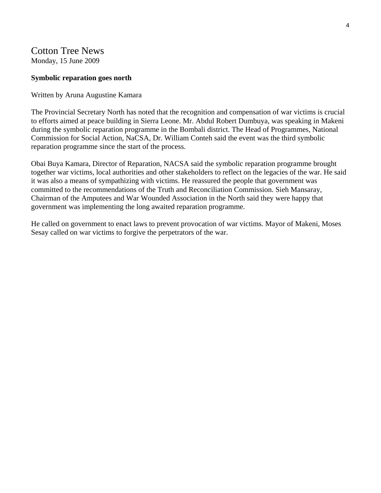## Cotton Tree News

Monday, 15 June 2009

### **Symbolic reparation goes north**

### Written by Aruna Augustine Kamara

The Provincial Secretary North has noted that the recognition and compensation of war victims is crucial to efforts aimed at peace building in Sierra Leone. Mr. Abdul Robert Dumbuya, was speaking in Makeni during the symbolic reparation programme in the Bombali district. The Head of Programmes, National Commission for Social Action, NaCSA, Dr. William Conteh said the event was the third symbolic reparation programme since the start of the process.

Obai Buya Kamara, Director of Reparation, NACSA said the symbolic reparation programme brought together war victims, local authorities and other stakeholders to reflect on the legacies of the war. He said it was also a means of sympathizing with victims. He reassured the people that government was committed to the recommendations of the Truth and Reconciliation Commission. Sieh Mansaray, Chairman of the Amputees and War Wounded Association in the North said they were happy that government was implementing the long awaited reparation programme.

He called on government to enact laws to prevent provocation of war victims. Mayor of Makeni, Moses Sesay called on war victims to forgive the perpetrators of the war.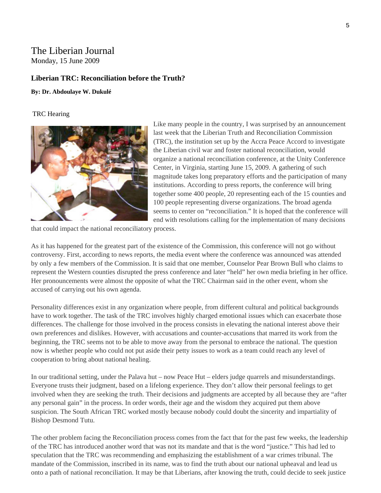### The Liberian Journal

Monday, 15 June 2009

#### **Liberian TRC: Reconciliation before the Truth?**

#### **By: Dr. Abdoulaye W. Dukulé**

#### TRC Hearing



Like many people in the country, I was surprised by an announcement last week that the Liberian Truth and Reconciliation Commission (TRC), the institution set up by the Accra Peace Accord to investigate the Liberian civil war and foster national reconciliation, would organize a national reconciliation conference, at the Unity Conference Center, in Virginia, starting June 15, 2009. A gathering of such magnitude takes long preparatory efforts and the participation of many institutions. According to press reports, the conference will bring together some 400 people, 20 representing each of the 15 counties and 100 people representing diverse organizations. The broad agenda seems to center on "reconciliation." It is hoped that the conference will end with resolutions calling for the implementation of many decisions

that could impact the national reconciliatory process.

As it has happened for the greatest part of the existence of the Commission, this conference will not go without controversy. First, according to news reports, the media event where the conference was announced was attended by only a few members of the Commission. It is said that one member, Counselor Pear Brown Bull who claims to represent the Western counties disrupted the press conference and later "held" her own media briefing in her office. Her pronouncements were almost the opposite of what the TRC Chairman said in the other event, whom she accused of carrying out his own agenda.

Personality differences exist in any organization where people, from different cultural and political backgrounds have to work together. The task of the TRC involves highly charged emotional issues which can exacerbate those differences. The challenge for those involved in the process consists in elevating the national interest above their own preferences and dislikes. However, with accusations and counter-accusations that marred its work from the beginning, the TRC seems not to be able to move away from the personal to embrace the national. The question now is whether people who could not put aside their petty issues to work as a team could reach any level of cooperation to bring about national healing.

In our traditional setting, under the Palava hut – now Peace Hut – elders judge quarrels and misunderstandings. Everyone trusts their judgment, based on a lifelong experience. They don't allow their personal feelings to get involved when they are seeking the truth. Their decisions and judgments are accepted by all because they are "after any personal gain" in the process. In order words, their age and the wisdom they acquired put them above suspicion. The South African TRC worked mostly because nobody could doubt the sincerity and impartiality of Bishop Desmond Tutu.

The other problem facing the Reconciliation process comes from the fact that for the past few weeks, the leadership of the TRC has introduced another word that was not its mandate and that is the word "justice." This had led to speculation that the TRC was recommending and emphasizing the establishment of a war crimes tribunal. The mandate of the Commission, inscribed in its name, was to find the truth about our national upheaval and lead us onto a path of national reconciliation. It may be that Liberians, after knowing the truth, could decide to seek justice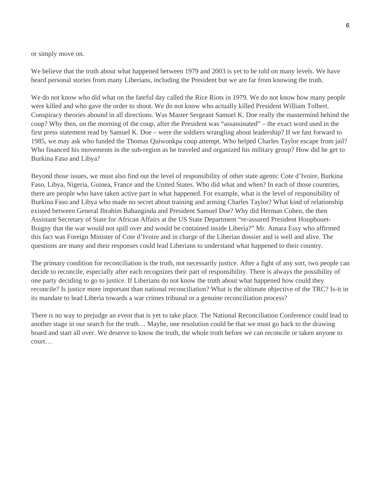or simply move on.

We believe that the truth about what happened between 1979 and 2003 is yet to be told on many levels. We have heard personal stories from many Liberians, including the President but we are far from knowing the truth.

We do not know who did what on the fateful day called the Rice Riots in 1979. We do not know how many people were killed and who gave the order to shoot. We do not know who actually killed President William Tolbert. Conspiracy theories abound in all directions. Was Master Sergeant Samuel K. Doe really the mastermind behind the coup? Why then, on the morning of the coup, after the President was "assassinated" – the exact word used in the first press statement read by Samuel K. Doe – were the soldiers wrangling about leadership? If we fast forward to 1985, we may ask who funded the Thomas Quiwonkpa coup attempt. Who helped Charles Taylor escape from jail? Who financed his movements in the sub-region as he traveled and organized his military group? How did he get to Burkina Faso and Libya?

Beyond those issues, we must also find out the level of responsibility of other state agents: Cote d'Ivoire, Burkina Faso, Libya, Nigeria, Guinea, France and the United States. Who did what and when? In each of those countries, there are people who have taken active part in what happened. For example, what is the level of responsibility of Burkina Faso and Libya who made no secret about training and arming Charles Taylor? What kind of relationship existed between General Ibrahim Babanginda and President Samuel Doe? Why did Herman Cohen, the then Assistant Secretary of State for African Affairs at the US State Department "re-assured President Houphouet-Boigny that the war would not spill over and would be contained inside Liberia?" Mr. Amara Essy who affirmed this fact was Foreign Minister of Cote d'Ivoire and in charge of the Liberian dossier and is well and alive. The questions are many and their responses could lead Liberians to understand what happened to their country.

The primary condition for reconciliation is the truth, not necessarily justice. After a fight of any sort, two people can decide to reconcile, especially after each recognizes their part of responsibility. There is always the possibility of one party deciding to go to justice. If Liberians do not know the truth about what happened how could they reconcile? Is justice more important than national reconciliation? What is the ultimate objective of the TRC? Is-it in its mandate to lead Liberia towards a war crimes tribunal or a genuine reconciliation process?

There is no way to prejudge an event that is yet to take place. The National Reconciliation Conference could lead to another stage in our search for the truth… Maybe, one resolution could be that we must go back to the drawing board and start all over. We deserve to know the truth, the whole truth before we can reconcile or taken anyone to court…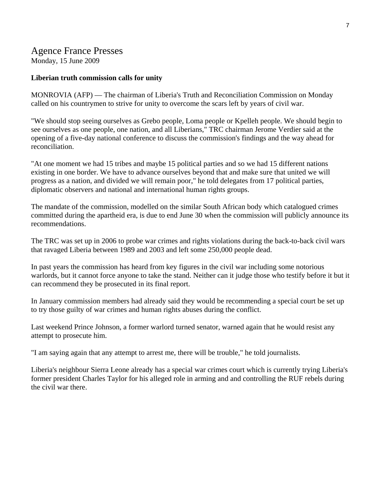### Agence France Presses

Monday, 15 June 2009

### **Liberian truth commission calls for unity**

MONROVIA (AFP) — The chairman of Liberia's Truth and Reconciliation Commission on Monday called on his countrymen to strive for unity to overcome the scars left by years of civil war.

"We should stop seeing ourselves as Grebo people, Loma people or Kpelleh people. We should begin to see ourselves as one people, one nation, and all Liberians," TRC chairman Jerome Verdier said at the opening of a five-day national conference to discuss the commission's findings and the way ahead for reconciliation.

"At one moment we had 15 tribes and maybe 15 political parties and so we had 15 different nations existing in one border. We have to advance ourselves beyond that and make sure that united we will progress as a nation, and divided we will remain poor," he told delegates from 17 political parties, diplomatic observers and national and international human rights groups.

The mandate of the commission, modelled on the similar South African body which catalogued crimes committed during the apartheid era, is due to end June 30 when the commission will publicly announce its recommendations.

The TRC was set up in 2006 to probe war crimes and rights violations during the back-to-back civil wars that ravaged Liberia between 1989 and 2003 and left some 250,000 people dead.

In past years the commission has heard from key figures in the civil war including some notorious warlords, but it cannot force anyone to take the stand. Neither can it judge those who testify before it but it can recommend they be prosecuted in its final report.

In January commission members had already said they would be recommending a special court be set up to try those guilty of war crimes and human rights abuses during the conflict.

Last weekend Prince Johnson, a former warlord turned senator, warned again that he would resist any attempt to prosecute him.

"I am saying again that any attempt to arrest me, there will be trouble," he told journalists.

Liberia's neighbour Sierra Leone already has a special war crimes court which is currently trying Liberia's former president Charles Taylor for his alleged role in arming and and controlling the RUF rebels during the civil war there.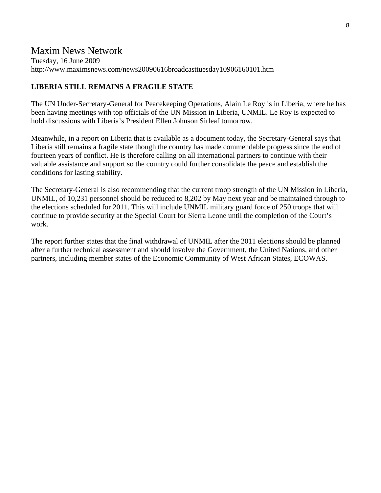### Maxim News Network Tuesday, 16 June 2009 http://www.maximsnews.com/news20090616broadcasttuesday10906160101.htm

### **LIBERIA STILL REMAINS A FRAGILE STATE**

The UN Under-Secretary-General for Peacekeeping Operations, Alain Le Roy is in Liberia, where he has been having meetings with top officials of the UN Mission in Liberia, UNMIL. Le Roy is expected to hold discussions with Liberia's President Ellen Johnson Sirleaf tomorrow.

Meanwhile, in a report on Liberia that is available as a document today, the Secretary-General says that Liberia still remains a fragile state though the country has made commendable progress since the end of fourteen years of conflict. He is therefore calling on all international partners to continue with their valuable assistance and support so the country could further consolidate the peace and establish the conditions for lasting stability.

The Secretary-General is also recommending that the current troop strength of the UN Mission in Liberia, UNMIL, of 10,231 personnel should be reduced to 8,202 by May next year and be maintained through to the elections scheduled for 2011. This will include UNMIL military guard force of 250 troops that will continue to provide security at the Special Court for Sierra Leone until the completion of the Court's work.

The report further states that the final withdrawal of UNMIL after the 2011 elections should be planned after a further technical assessment and should involve the Government, the United Nations, and other partners, including member states of the Economic Community of West African States, ECOWAS.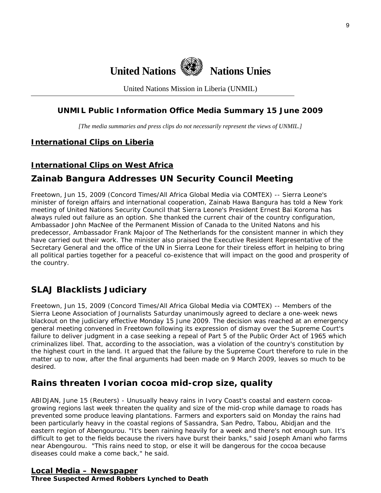

United Nations Mission in Liberia (UNMIL)

### **UNMIL Public Information Office Media Summary 15 June 2009**

*[The media summaries and press clips do not necessarily represent the views of UNMIL.]* 

### **International Clips on Liberia**

### **International Clips on West Africa**

### **Zainab Bangura Addresses UN Security Council Meeting**

Freetown, Jun 15, 2009 (Concord Times/All Africa Global Media via COMTEX) -- Sierra Leone's minister of foreign affairs and international cooperation, Zainab Hawa Bangura has told a New York meeting of United Nations Security Council that Sierra Leone's President Ernest Bai Koroma has always ruled out failure as an option. She thanked the current chair of the country configuration, Ambassador John MacNee of the Permanent Mission of Canada to the United Natons and his predecessor, Ambassador Frank Majoor of The Netherlands for the consistent manner in which they have carried out their work. The minister also praised the Executive Resident Representative of the Secretary General and the office of the UN in Sierra Leone for their tireless effort in helping to bring all political parties together for a peaceful co-existence that will impact on the good and prosperity of the country.

### **SLAJ Blacklists Judiciary**

Freetown, Jun 15, 2009 (Concord Times/All Africa Global Media via COMTEX) -- Members of the Sierra Leone Association of Journalists Saturday unanimously agreed to declare a one-week news blackout on the judiciary effective Monday 15 June 2009. The decision was reached at an emergency general meeting convened in Freetown following its expression of dismay over the Supreme Court's failure to deliver judgment in a case seeking a repeal of Part 5 of the Public Order Act of 1965 which criminalizes libel. That, according to the association, was a violation of the country's constitution by the highest court in the land. It argued that the failure by the Supreme Court therefore to rule in the matter up to now, after the final arguments had been made on 9 March 2009, leaves so much to be desired.

### **Rains threaten Ivorian cocoa mid-crop size, quality**

ABIDJAN, June 15 (Reuters) - Unusually heavy rains in Ivory Coast's coastal and eastern cocoagrowing regions last week threaten the quality and size of the mid-crop while damage to roads has prevented some produce leaving plantations. Farmers and exporters said on Monday the rains had been particularly heavy in the coastal regions of Sassandra, San Pedro, Tabou, Abidjan and the eastern region of Abengourou. "It's been raining heavily for a week and there's not enough sun. It's difficult to get to the fields because the rivers have burst their banks," said Joseph Amani who farms near Abengourou. "This rains need to stop, or else it will be dangerous for the cocoa because diseases could make a come back," he said.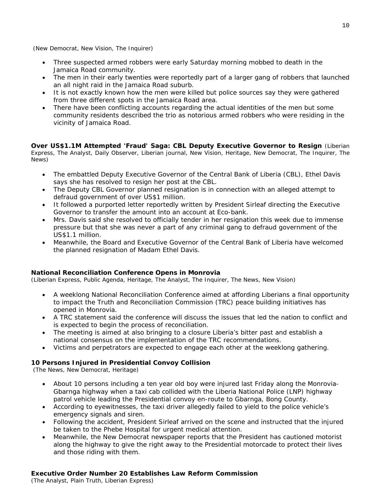(New Democrat, New Vision, The Inquirer)

- Three suspected armed robbers were early Saturday morning mobbed to death in the Jamaica Road community.
- The men in their early twenties were reportedly part of a larger gang of robbers that launched an all night raid in the Jamaica Road suburb.
- It is not exactly known how the men were killed but police sources say they were gathered from three different spots in the Jamaica Road area.
- There have been conflicting accounts regarding the actual identities of the men but some community residents described the trio as notorious armed robbers who were residing in the vicinity of Jamaica Road.

**Over US\$1.1M Attempted 'Fraud' Saga: CBL Deputy Executive Governor to Resign** (Liberian Express, The Analyst, Daily Observer, Liberian journal, New Vision, Heritage, New Democrat, The Inquirer, The News)

- The embattled Deputy Executive Governor of the Central Bank of Liberia (CBL), Ethel Davis says she has resolved to resign her post at the CBL.
- The Deputy CBL Governor planned resignation is in connection with an alleged attempt to defraud government of over US\$1 million.
- It followed a purported letter reportedly written by President Sirleaf directing the Executive Governor to transfer the amount into an account at Eco-bank.
- Mrs. Davis said she resolved to officially tender in her resignation this week due to immense pressure but that she was never a part of any criminal gang to defraud government of the US\$1.1 million.
- Meanwhile, the Board and Executive Governor of the Central Bank of Liberia have welcomed the planned resignation of Madam Ethel Davis.

#### **National Reconciliation Conference Opens in Monrovia**

(Liberian Express, Public Agenda, Heritage, The Analyst, The Inquirer, The News, New Vision)

- A weeklong National Reconciliation Conference aimed at affording Liberians a final opportunity to impact the Truth and Reconciliation Commission (TRC) peace building initiatives has opened in Monrovia.
- A TRC statement said the conference will discuss the issues that led the nation to conflict and is expected to begin the process of reconciliation.
- The meeting is aimed at also bringing to a closure Liberia's bitter past and establish a national consensus on the implementation of the TRC recommendations.
- Victims and perpetrators are expected to engage each other at the weeklong gathering.

#### **10 Persons Injured in Presidential Convoy Collision**

(The News, New Democrat, Heritage)

- About 10 persons including a ten year old boy were injured last Friday along the Monrovia-Gbarnga highway when a taxi cab collided with the Liberia National Police (LNP) highway patrol vehicle leading the Presidential convoy en-route to Gbarnga, Bong County.
- According to eyewitnesses, the taxi driver allegedly failed to yield to the police vehicle's emergency signals and siren.
- Following the accident, President Sirleaf arrived on the scene and instructed that the injured be taken to the Phebe Hospital for urgent medical attention.
- Meanwhile, the New Democrat newspaper reports that the President has cautioned motorist along the highway to give the right away to the Presidential motorcade to protect their lives and those riding with them.

### **Executive Order Number 20 Establishes Law Reform Commission**

(The Analyst, Plain Truth, Liberian Express)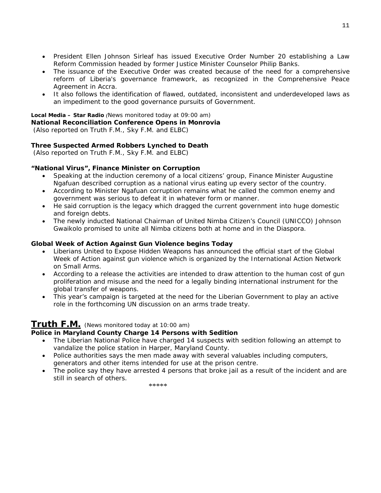- President Ellen Johnson Sirleaf has issued Executive Order Number 20 establishing a Law Reform Commission headed by former Justice Minister Counselor Philip Banks.
- The issuance of the Executive Order was created because of the need for a comprehensive reform of Liberia's governance framework, as recognized in the Comprehensive Peace Agreement in Accra.
- It also follows the identification of flawed, outdated, inconsistent and underdeveloped laws as an impediment to the good governance pursuits of Government.

#### **Local Media – Star Radio** *(News monitored today at 09:00 am)*

**National Reconciliation Conference Opens in Monrovia** 

 *(Also reported on Truth F.M., Sky F.M. and ELBC*)

#### **Three Suspected Armed Robbers Lynched to Death**

 *(Also reported on Truth F.M., Sky F.M. and ELBC*)

#### **"National Virus", Finance Minister on Corruption**

- Speaking at the induction ceremony of a local citizens' group, Finance Minister Augustine Ngafuan described corruption as a national virus eating up every sector of the country.
- According to Minister Ngafuan corruption remains what he called the common enemy and government was serious to defeat it in whatever form or manner.
- He said corruption is the legacy which dragged the current government into huge domestic and foreign debts.
- The newly inducted National Chairman of United Nimba Citizen's Council (UNICCO) Johnson Gwaikolo promised to unite all Nimba citizens both at home and in the Diaspora.

#### **Global Week of Action Against Gun Violence begins Today**

- Liberians United to Expose Hidden Weapons has announced the official start of the Global Week of Action against gun violence which is organized by the International Action Network on Small Arms.
- According to a release the activities are intended to draw attention to the human cost of gun proliferation and misuse and the need for a legally binding international instrument for the global transfer of weapons.
- This year's campaign is targeted at the need for the Liberian Government to play an active role in the forthcoming UN discussion on an arms trade treaty.

### **Truth F.M.** *(News monitored today at 10:00 am)*

### **Police in Maryland County Charge 14 Persons with Sedition**

- The Liberian National Police have charged 14 suspects with sedition following an attempt to vandalize the police station in Harper, Maryland County.
- Police authorities says the men made away with several valuables including computers, generators and other items intended for use at the prison centre.
- The police say they have arrested 4 persons that broke jail as a result of the incident and are still in search of others.

11

\*\*\*\*\*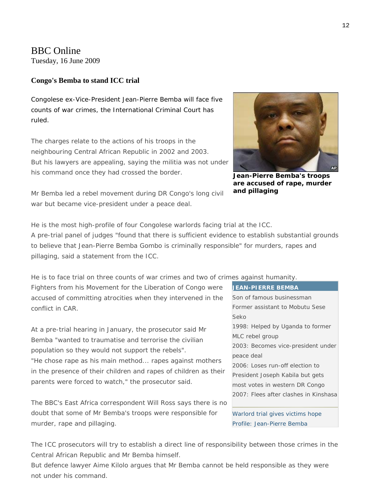### BBC Online Tuesday, 16 June 2009

#### **Congo's Bemba to stand ICC trial**

Congolese ex-Vice-President Jean-Pierre Bemba will face five counts of war crimes, the International Criminal Court has ruled.

The charges relate to the actions of his troops in the neighbouring Central African Republic in 2002 and 2003. But his lawyers are appealing, saying the militia was not under his command once they had crossed the border.



**Jean-Pierre Bemba's troops are accused of rape, murder and pillaging** 

Mr Bemba led a rebel movement during DR Congo's long civil war but became vice-president under a peace deal.

He is the most high-profile of four Congolese warlords facing trial at the ICC.

A pre-trial panel of judges "found that there is sufficient evidence to establish substantial grounds to believe that Jean-Pierre Bemba Gombo is criminally responsible" for murders, rapes and pillaging, said a statement from the ICC.

He is to face trial on three counts of war crimes and two of crimes against humanity.

Fighters from his Movement for the Liberation of Congo were accused of committing atrocities when they intervened in the conflict in CAR.

At a pre-trial hearing in January, the prosecutor said Mr Bemba "wanted to traumatise and terrorise the civilian population so they would not support the rebels". "He chose rape as his main method... rapes against mothers in the presence of their children and rapes of children as their parents were forced to watch," the prosecutor said.

The BBC's East Africa correspondent Will Ross says there is no doubt that some of Mr Bemba's troops were responsible for murder, rape and pillaging.

#### **JEAN-PIERRE BEMBA**

Son of famous businessman Former assistant to Mobutu Sese Seko 1998: Helped by Uganda to former MLC rebel group 2003: Becomes vice-president under peace deal 2006: Loses run-off election to President Joseph Kabila but gets most votes in western DR Congo 2007: Flees after clashes in Kinshasa

[Warlord trial gives victims hope](http://news.bbc.co.uk/2/hi/africa/7767902.stm)  [Profile: Jean-Pierre Bemba](http://news.bbc.co.uk/2/hi/africa/6085536.stm)

The ICC prosecutors will try to establish a direct line of responsibility between those crimes in the Central African Republic and Mr Bemba himself.

But defence lawyer Aime Kilolo argues that Mr Bemba cannot be held responsible as they were not under his command.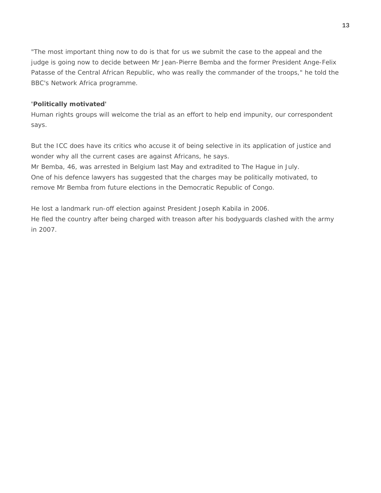"The most important thing now to do is that for us we submit the case to the appeal and the judge is going now to decide between Mr Jean-Pierre Bemba and the former President Ange-Felix Patasse of the Central African Republic, who was really the commander of the troops," he told the BBC's Network Africa programme.

### **'Politically motivated'**

Human rights groups will welcome the trial as an effort to help end impunity, our correspondent says.

But the ICC does have its critics who accuse it of being selective in its application of justice and wonder why all the current cases are against Africans, he says. Mr Bemba, 46, was arrested in Belgium last May and extradited to The Hague in July.

One of his defence lawyers has suggested that the charges may be politically motivated, to remove Mr Bemba from future elections in the Democratic Republic of Congo.

He lost a landmark run-off election against President Joseph Kabila in 2006. He fled the country after being charged with treason after his bodyguards clashed with the army in 2007.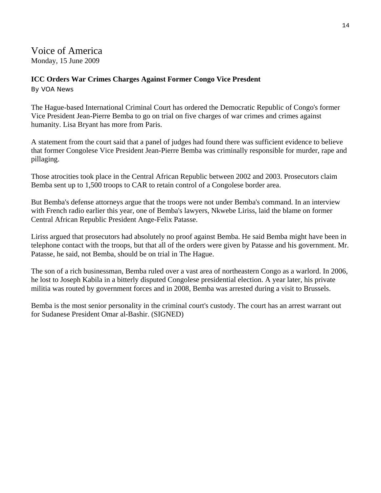# Voice of America

Monday, 15 June 2009

### **ICC Orders War Crimes Charges Against Former Congo Vice Presdent**

By VOA News

The Hague-based International Criminal Court has ordered the Democratic Republic of Congo's former Vice President Jean-Pierre Bemba to go on trial on five charges of war crimes and crimes against humanity. Lisa Bryant has more from Paris.

A statement from the court said that a panel of judges had found there was sufficient evidence to believe that former Congolese Vice President Jean-Pierre Bemba was criminally responsible for murder, rape and pillaging.

Those atrocities took place in the Central African Republic between 2002 and 2003. Prosecutors claim Bemba sent up to 1,500 troops to CAR to retain control of a Congolese border area.

But Bemba's defense attorneys argue that the troops were not under Bemba's command. In an interview with French radio earlier this year, one of Bemba's lawyers, Nkwebe Liriss, laid the blame on former Central African Republic President Ange-Felix Patasse.

Liriss argued that prosecutors had absolutely no proof against Bemba. He said Bemba might have been in telephone contact with the troops, but that all of the orders were given by Patasse and his government. Mr. Patasse, he said, not Bemba, should be on trial in The Hague.

The son of a rich businessman, Bemba ruled over a vast area of northeastern Congo as a warlord. In 2006, he lost to Joseph Kabila in a bitterly disputed Congolese presidential election. A year later, his private militia was routed by government forces and in 2008, Bemba was arrested during a visit to Brussels.

Bemba is the most senior personality in the criminal court's custody. The court has an arrest warrant out for Sudanese President Omar al-Bashir. (SIGNED)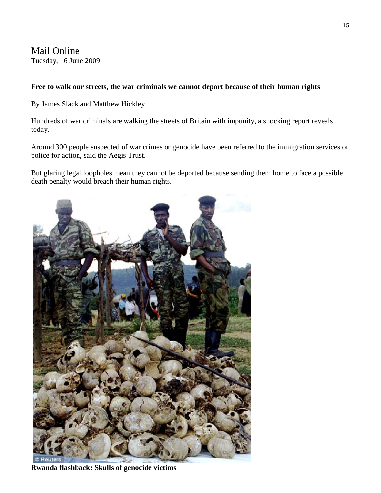Mail Online Tuesday, 16 June 2009

### **Free to walk our streets, the war criminals we cannot deport because of their human rights**

By [James Slack](http://www.dailymail.co.uk/home/search.html?s=y&authornamef=James+Slack) and [Matthew Hickley](http://www.dailymail.co.uk/home/search.html?s=y&authornamef=Matthew+Hickley)

Hundreds of war criminals are walking the streets of Britain with impunity, a shocking report reveals today.

Around 300 people suspected of war crimes or genocide have been referred to the immigration services or police for action, said the Aegis Trust.

But glaring legal loopholes mean they cannot be deported because sending them home to face a possible death penalty would breach their human rights.



**[Rwanda flashback: Skulls of genocide victims](http://i.dailymail.co.uk/i/pix/2009/06/16/article-1193299-055AF9D6000005DC-156_468x576_popup.jpg)**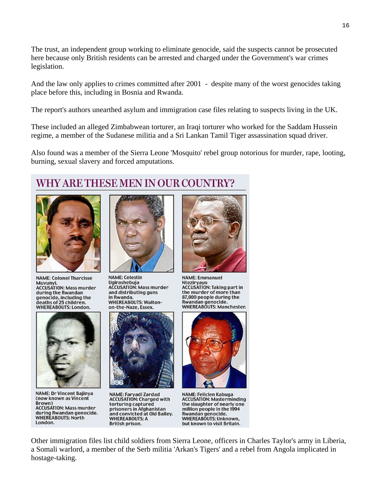The trust, an independent group working to eliminate genocide, said the suspects cannot be prosecuted here because only British residents can be arrested and charged under the Government's war crimes legislation.

And the law only applies to crimes committed after 2001 - despite many of the worst genocides taking place before this, including in Bosnia and Rwanda.

The report's authors unearthed asylum and immigration case files relating to suspects living in the UK.

These included an alleged Zimbabwean torturer, an Iraqi torturer who worked for the Saddam Hussein regime, a member of the Sudanese militia and a Sri Lankan Tamil Tiger assassination squad driver.

Also found was a member of the Sierra Leone 'Mosquito' rebel group notorious for murder, rape, looting, burning, sexual slavery and forced amputations.

## WHY ARE THESE MEN IN OUR COUNTRY?



**NAME: Colonel Tharcisse** Muvunyi. **ACCUSATION: Mass murder** during the Rwandan genocide, including the deaths of 25 children. **WHEREABOUTS: London.** 



NAME: Dr Vincent Bajinya (now known as Vincent Brown) **ACCUSATION: Mass murder** during Rwandan genocide. **WHEREABOUTS: North** London.



**NAME: Celestin** Ugirashebuja **ACCUSATION: Mass murder** and distributing guns in Rwanda. **WHEREABOUTS: Walton**on-the-Naze, Essex.



NAME: Faryadi Zardad **ACCUSATION: Charged with** torturing captured prisoners in Afghanistan and convicted at Old Bailey. **WHEREABOUTS: A** British prison.



**NAME: Emmanuel** Nteziryayo **ACCUSATION: Taking part in** the murder of more than 87,000 people during the Rwandan genocide. WHEREABOUTS: Manchester.



NAME: Felicien Kabuga **ACCUSATION: Masterminding** the slaughter of nearly one million people in the 1994 Rwandan genocide. WHEREABOUTS: Unknown, but known to visit Britain.

Other immigration files list child soldiers from Sierra Leone, officers in Charles Taylor's army in Liberia, a Somali warlord, a member of the Serb militia 'Arkan's Tigers' and a rebel from Angola implicated in hostage-taking.